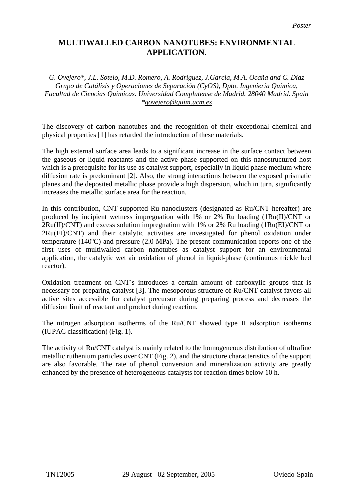# **MULTIWALLED CARBON NANOTUBES: ENVIRONMENTAL APPLICATION.**

*G. Ovejero\*, J.L. Sotelo, M.D. Romero, A. Rodríguez, J.García, M.A. Ocaña and C. Diaz Grupo de Catálisis y Operaciones de Separación (CyOS), Dpto. Ingeniería Química, Facultad de Ciencias Químicas. Universidad Complutense de Madrid. 28040 Madrid. Spain [\\*govejero@quim.ucm.es](mailto:govejero@quim.ucm.es)*

The discovery of carbon nanotubes and the recognition of their exceptional chemical and physical properties [1] has retarded the introduction of these materials.

The high external surface area leads to a significant increase in the surface contact between the gaseous or liquid reactants and the active phase supported on this nanostructured host which is a prerequisite for its use as catalyst support, especially in liquid phase medium where diffusion rate is predominant [2]. Also, the strong interactions between the exposed prismatic planes and the deposited metallic phase provide a high dispersion, which in turn, significantly increases the metallic surface area for the reaction.

In this contribution, CNT-supported Ru nanoclusters (designated as Ru/CNT hereafter) are produced by incipient wetness impregnation with 1% or 2% Ru loading (1Ru(II)/CNT or  $2Ru(II)/CNT)$  and excess solution impregnation with 1% or 2% Ru loading  $(1Ru(EI)/CNT)$  or 2Ru(EI)/CNT) and their catalytic activities are investigated for phenol oxidation under temperature (140ºC) and pressure (2.0 MPa). The present communication reports one of the first uses of multiwalled carbon nanotubes as catalyst support for an environmental application, the catalytic wet air oxidation of phenol in liquid-phase (continuous trickle bed reactor).

Oxidation treatment on CNT´s introduces a certain amount of carboxylic groups that is necessary for preparing catalyst [3]. The mesoporous structure of Ru/CNT catalyst favors all active sites accessible for catalyst precursor during preparing process and decreases the diffusion limit of reactant and product during reaction.

The nitrogen adsorption isotherms of the Ru/CNT showed type II adsorption isotherms (IUPAC classification) (Fig. 1).

The activity of Ru/CNT catalyst is mainly related to the homogeneous distribution of ultrafine metallic ruthenium particles over CNT (Fig. 2), and the structure characteristics of the support are also favorable. The rate of phenol conversion and mineralization activity are greatly enhanced by the presence of heterogeneous catalysts for reaction times below 10 h.